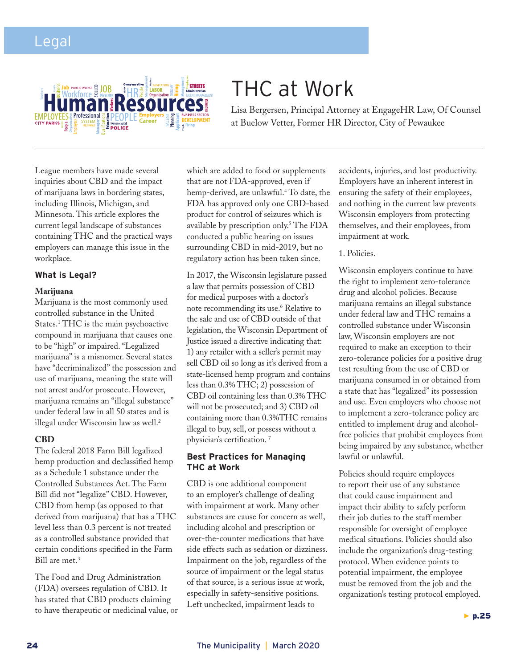

# THC at Work

Lisa Bergersen, Principal Attorney at EngageHR Law, Of Counsel at Buelow Vetter, Former HR Director, City of Pewaukee

League members have made several inquiries about CBD and the impact of marijuana laws in bordering states, including Illinois, Michigan, and Minnesota. This article explores the current legal landscape of substances containing THC and the practical ways employers can manage this issue in the workplace.

### **What is Legal?**

#### **Marijuana**

Marijuana is the most commonly used controlled substance in the United States.1 THC is the main psychoactive compound in marijuana that causes one to be "high" or impaired. "Legalized marijuana" is a misnomer. Several states have "decriminalized" the possession and use of marijuana, meaning the state will not arrest and/or prosecute. However, marijuana remains an "illegal substance" under federal law in all 50 states and is illegal under Wisconsin law as well.<sup>2</sup>

#### **CBD**

The federal 2018 Farm Bill legalized hemp production and declassified hemp as a Schedule 1 substance under the Controlled Substances Act. The Farm Bill did not "legalize" CBD. However, CBD from hemp (as opposed to that derived from marijuana) that has a THC level less than 0.3 percent is not treated as a controlled substance provided that certain conditions specified in the Farm Bill are met.<sup>3</sup>

The Food and Drug Administration (FDA) oversees regulation of CBD. It has stated that CBD products claiming to have therapeutic or medicinal value, or which are added to food or supplements that are not FDA-approved, even if hemp-derived, are unlawful.4 To date, the FDA has approved only one CBD-based product for control of seizures which is available by prescription only.5 The FDA conducted a public hearing on issues surrounding CBD in mid-2019, but no regulatory action has been taken since.

In 2017, the Wisconsin legislature passed a law that permits possession of CBD for medical purposes with a doctor's note recommending its use.6 Relative to the sale and use of CBD outside of that legislation, the Wisconsin Department of Justice issued a directive indicating that: 1) any retailer with a seller's permit may sell CBD oil so long as it's derived from a state-licensed hemp program and contains less than 0.3% THC; 2) possession of CBD oil containing less than 0.3% THC will not be prosecuted; and 3) CBD oil containing more than 0.3%THC remains illegal to buy, sell, or possess without a physician's certification. 7

## **Best Practices for Managing**

CBD is one additional component to an employer's challenge of dealing with impairment at work. Many other substances are cause for concern as well, including alcohol and prescription or over-the-counter medications that have side effects such as sedation or dizziness. Impairment on the job, regardless of the source of impairment or the legal status of that source, is a serious issue at work, especially in safety-sensitive positions. Left unchecked, impairment leads to

accidents, injuries, and lost productivity. Employers have an inherent interest in ensuring the safety of their employees, and nothing in the current law prevents Wisconsin employers from protecting themselves, and their employees, from impairment at work.

#### 1. Policies.

Wisconsin employers continue to have the right to implement zero-tolerance drug and alcohol policies. Because marijuana remains an illegal substance under federal law and THC remains a controlled substance under Wisconsin law, Wisconsin employers are not required to make an exception to their zero-tolerance policies for a positive drug test resulting from the use of CBD or marijuana consumed in or obtained from a state that has "legalized" its possession and use. Even employers who choose not to implement a zero-tolerance policy are entitled to implement drug and alcoholfree policies that prohibit employees from being impaired by any substance, whether lawful or unlawful.

Policies should require employees to report their use of any substance that could cause impairment and impact their ability to safely perform their job duties to the staff member responsible for oversight of employee medical situations. Policies should also include the organization's drug-testing protocol. When evidence points to potential impairment, the employee must be removed from the job and the organization's testing protocol employed.

 $\blacktriangleright$  p.25